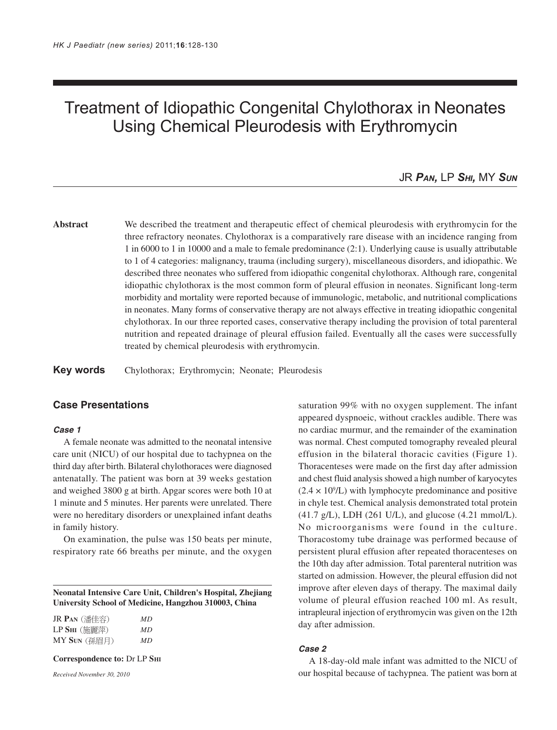# Treatment of Idiopathic Congenital Chylothorax in Neonates Using Chemical Pleurodesis with Erythromycin

# JR *PAN,* LP *SHI,* MY *SUN*

# **Abstract** We described the treatment and therapeutic effect of chemical pleurodesis with erythromycin for the three refractory neonates. Chylothorax is a comparatively rare disease with an incidence ranging from 1 in 6000 to 1 in 10000 and a male to female predominance (2:1). Underlying cause is usually attributable to 1 of 4 categories: malignancy, trauma (including surgery), miscellaneous disorders, and idiopathic. We described three neonates who suffered from idiopathic congenital chylothorax. Although rare, congenital idiopathic chylothorax is the most common form of pleural effusion in neonates. Significant long-term morbidity and mortality were reported because of immunologic, metabolic, and nutritional complications in neonates. Many forms of conservative therapy are not always effective in treating idiopathic congenital chylothorax. In our three reported cases, conservative therapy including the provision of total parenteral nutrition and repeated drainage of pleural effusion failed. Eventually all the cases were successfully treated by chemical pleurodesis with erythromycin.

**Key words** Chylothorax; Erythromycin; Neonate; Pleurodesis

# **Case Presentations**

#### **Case 1**

A female neonate was admitted to the neonatal intensive care unit (NICU) of our hospital due to tachypnea on the third day after birth. Bilateral chylothoraces were diagnosed antenatally. The patient was born at 39 weeks gestation and weighed 3800 g at birth. Apgar scores were both 10 at 1 minute and 5 minutes. Her parents were unrelated. There were no hereditary disorders or unexplained infant deaths in family history.

On examination, the pulse was 150 beats per minute, respiratory rate 66 breaths per minute, and the oxygen

**Neonatal Intensive Care Unit, Children's Hospital, Zhejiang University School of Medicine, Hangzhou 310003, China**

| JR Pan (潘佳容)                               | МD |
|--------------------------------------------|----|
| $\operatorname{LP}\operatorname{Sm}$ (施麗萍) | МD |
| $\overline{\rm MY}$ Sun (孫眉月)              | МD |

**Correspondence to:** Dr LP **SHI**

*Received November 30, 2010*

saturation 99% with no oxygen supplement. The infant appeared dyspnoeic, without crackles audible. There was no cardiac murmur, and the remainder of the examination was normal. Chest computed tomography revealed pleural effusion in the bilateral thoracic cavities (Figure 1). Thoracenteses were made on the first day after admission and chest fluid analysis showed a high number of karyocytes  $(2.4 \times 10^9$ /L) with lymphocyte predominance and positive in chyle test. Chemical analysis demonstrated total protein (41.7 g/L), LDH (261 U/L), and glucose (4.21 mmol/L). No microorganisms were found in the culture. Thoracostomy tube drainage was performed because of persistent plural effusion after repeated thoracenteses on the 10th day after admission. Total parenteral nutrition was started on admission. However, the pleural effusion did not improve after eleven days of therapy. The maximal daily volume of pleural effusion reached 100 ml. As result, intrapleural injection of erythromycin was given on the 12th day after admission.

#### **Case 2**

A 18-day-old male infant was admitted to the NICU of our hospital because of tachypnea. The patient was born at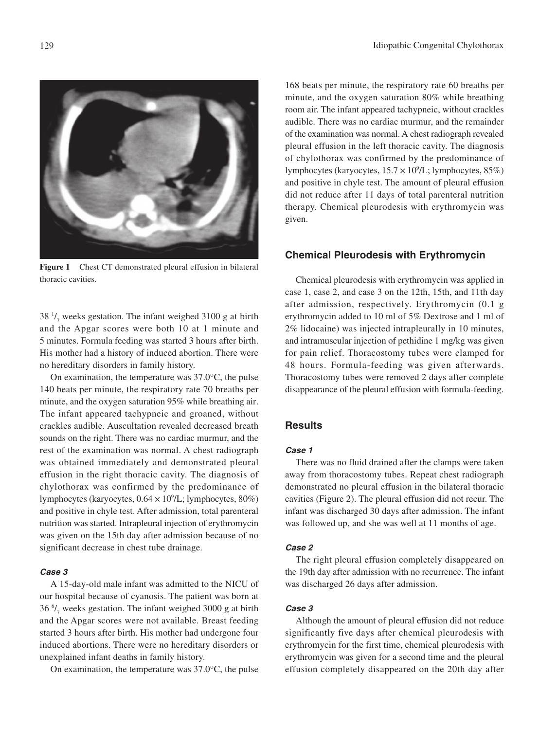

**Figure 1** Chest CT demonstrated pleural effusion in bilateral thoracic cavities.

38 $\frac{1}{7}$  weeks gestation. The infant weighed 3100 g at birth and the Apgar scores were both 10 at 1 minute and 5 minutes. Formula feeding was started 3 hours after birth. His mother had a history of induced abortion. There were no hereditary disorders in family history.

On examination, the temperature was 37.0°C, the pulse 140 beats per minute, the respiratory rate 70 breaths per minute, and the oxygen saturation 95% while breathing air. The infant appeared tachypneic and groaned, without crackles audible. Auscultation revealed decreased breath sounds on the right. There was no cardiac murmur, and the rest of the examination was normal. A chest radiograph was obtained immediately and demonstrated pleural effusion in the right thoracic cavity. The diagnosis of chylothorax was confirmed by the predominance of lymphocytes (karyocytes, 0.64 × 109 /L; lymphocytes, 80%) and positive in chyle test. After admission, total parenteral nutrition was started. Intrapleural injection of erythromycin was given on the 15th day after admission because of no significant decrease in chest tube drainage.

#### **Case 3**

A 15-day-old male infant was admitted to the NICU of our hospital because of cyanosis. The patient was born at 36 $\frac{6}{7}$  weeks gestation. The infant weighed 3000 g at birth and the Apgar scores were not available. Breast feeding started 3 hours after birth. His mother had undergone four induced abortions. There were no hereditary disorders or unexplained infant deaths in family history.

On examination, the temperature was 37.0°C, the pulse

168 beats per minute, the respiratory rate 60 breaths per minute, and the oxygen saturation 80% while breathing room air. The infant appeared tachypneic, without crackles audible. There was no cardiac murmur, and the remainder of the examination was normal. A chest radiograph revealed pleural effusion in the left thoracic cavity. The diagnosis of chylothorax was confirmed by the predominance of lymphocytes (karyocytes,  $15.7 \times 10^9$ /L; lymphocytes,  $85\%$ ) and positive in chyle test. The amount of pleural effusion did not reduce after 11 days of total parenteral nutrition therapy. Chemical pleurodesis with erythromycin was given.

# **Chemical Pleurodesis with Erythromycin**

Chemical pleurodesis with erythromycin was applied in case 1, case 2, and case 3 on the 12th, 15th, and 11th day after admission, respectively. Erythromycin (0.1 g erythromycin added to 10 ml of 5% Dextrose and 1 ml of 2% lidocaine) was injected intrapleurally in 10 minutes, and intramuscular injection of pethidine 1 mg/kg was given for pain relief. Thoracostomy tubes were clamped for 48 hours. Formula-feeding was given afterwards. Thoracostomy tubes were removed 2 days after complete disappearance of the pleural effusion with formula-feeding.

## **Results**

#### **Case 1**

There was no fluid drained after the clamps were taken away from thoracostomy tubes. Repeat chest radiograph demonstrated no pleural effusion in the bilateral thoracic cavities (Figure 2). The pleural effusion did not recur. The infant was discharged 30 days after admission. The infant was followed up, and she was well at 11 months of age.

#### **Case 2**

The right pleural effusion completely disappeared on the 19th day after admission with no recurrence. The infant was discharged 26 days after admission.

## **Case 3**

Although the amount of pleural effusion did not reduce significantly five days after chemical pleurodesis with erythromycin for the first time, chemical pleurodesis with erythromycin was given for a second time and the pleural effusion completely disappeared on the 20th day after